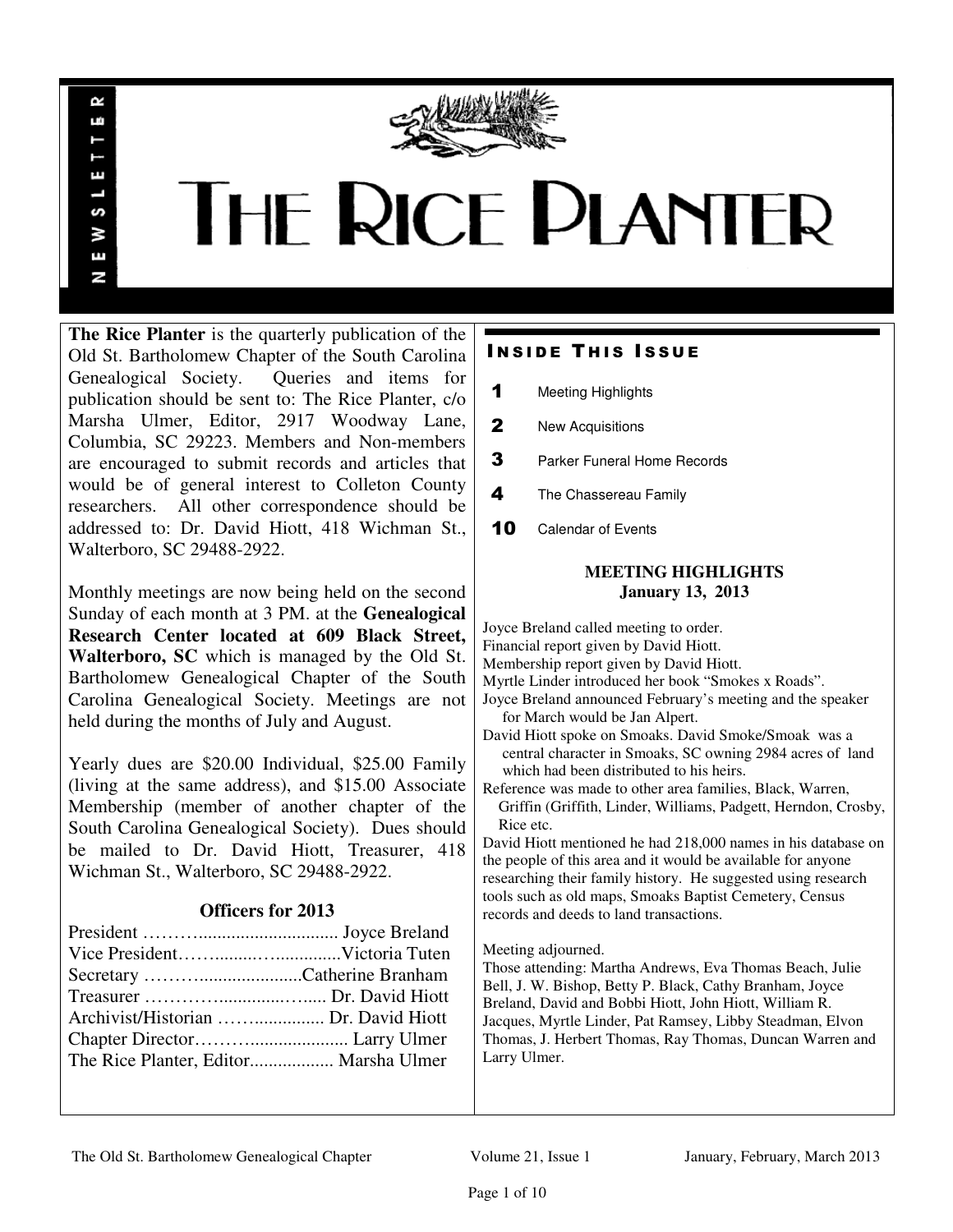

# THE RICE PLANTER

**The Rice Planter** is the quarterly publication of the Old St. Bartholomew Chapter of the South Carolina Genealogical Society. Queries and items for publication should be sent to: The Rice Planter, c/o Marsha Ulmer, Editor, 2917 Woodway Lane, Columbia, SC 29223. Members and Non-members are encouraged to submit records and articles that would be of general interest to Colleton County researchers. All other correspondence should be addressed to: Dr. David Hiott, 418 Wichman St., Walterboro, SC 29488-2922.

 $\sim$ uń

ш

S š E N

Monthly meetings are now being held on the second Sunday of each month at 3 PM. at the **Genealogical Research Center located at 609 Black Street, Walterboro, SC** which is managed by the Old St. Bartholomew Genealogical Chapter of the South Carolina Genealogical Society. Meetings are not held during the months of July and August.

Yearly dues are \$20.00 Individual, \$25.00 Family (living at the same address), and \$15.00 Associate Membership (member of another chapter of the South Carolina Genealogical Society). Dues should be mailed to Dr. David Hiott, Treasurer, 418 Wichman St., Walterboro, SC 29488-2922.

# **Officers for 2013**

| Archivist/Historian  Dr. David Hiott  |
|---------------------------------------|
|                                       |
| The Rice Planter, Editor Marsha Ulmer |
|                                       |

# **INSIDE THIS ISSUE**

- 1 Meeting Highlights
- 2 New Acquisitions
- **3** Parker Funeral Home Records
- 4 The Chassereau Family
- 10 Calendar of Events

# **MEETING HIGHLIGHTS January 13, 2013**

Joyce Breland called meeting to order. Financial report given by David Hiott. Membership report given by David Hiott. Myrtle Linder introduced her book "Smokes x Roads". Joyce Breland announced February's meeting and the speaker for March would be Jan Alpert. David Hiott spoke on Smoaks. David Smoke/Smoak was a central character in Smoaks, SC owning 2984 acres of land which had been distributed to his heirs. Reference was made to other area families, Black, Warren, Griffin (Griffith, Linder, Williams, Padgett, Herndon, Crosby, Rice etc.

David Hiott mentioned he had 218,000 names in his database on the people of this area and it would be available for anyone researching their family history. He suggested using research tools such as old maps, Smoaks Baptist Cemetery, Census records and deeds to land transactions.

### Meeting adjourned.

Those attending: Martha Andrews, Eva Thomas Beach, Julie Bell, J. W. Bishop, Betty P. Black, Cathy Branham, Joyce Breland, David and Bobbi Hiott, John Hiott, William R. Jacques, Myrtle Linder, Pat Ramsey, Libby Steadman, Elvon Thomas, J. Herbert Thomas, Ray Thomas, Duncan Warren and Larry Ulmer.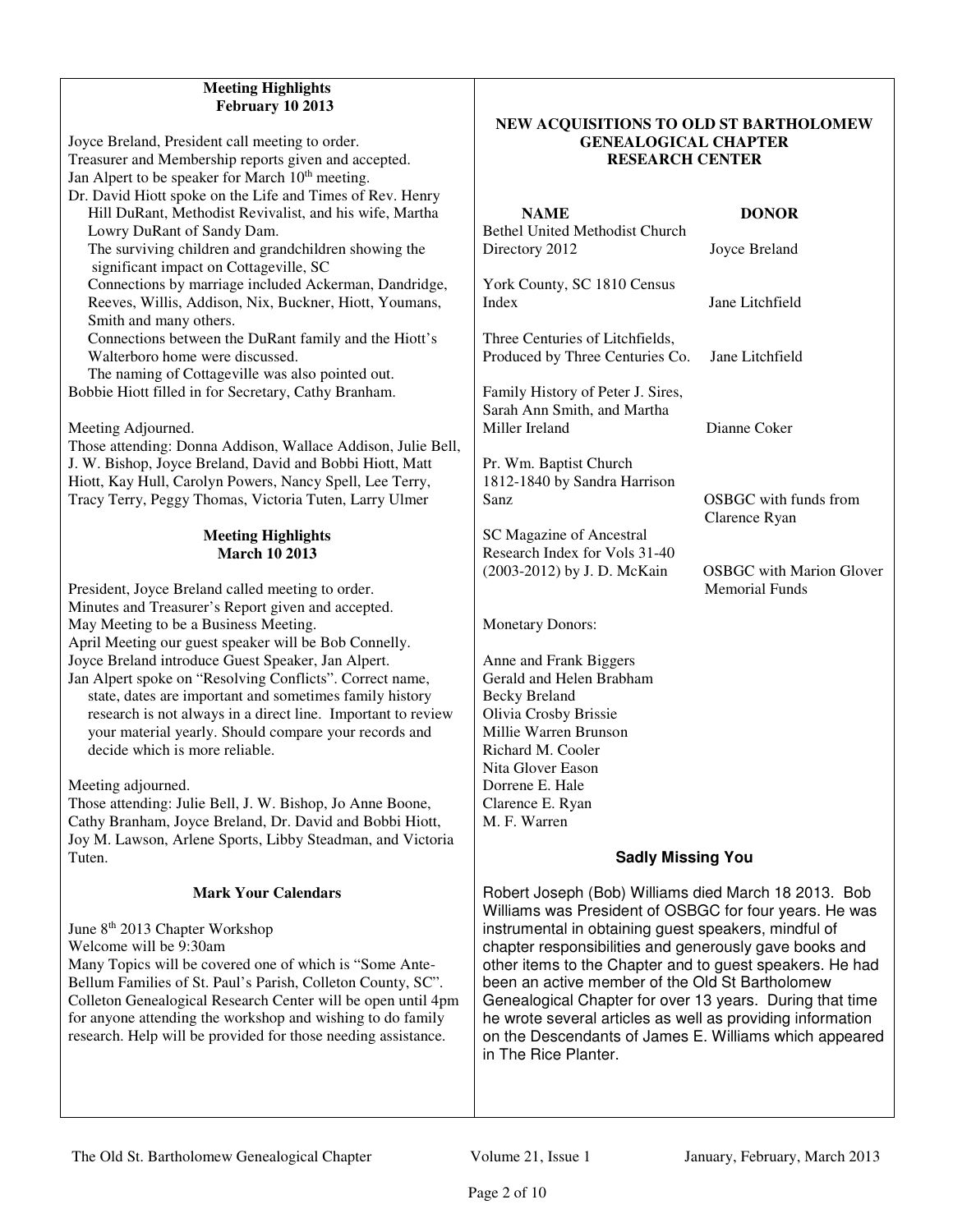# **Meeting Highlights February 10 2013**

Joyce Breland, President call meeting to order. Treasurer and Membership reports given and accepted. Jan Alpert to be speaker for March 10<sup>th</sup> meeting. Dr. David Hiott spoke on the Life and Times of Rev. Henry Hill DuRant, Methodist Revivalist, and his wife, Martha Lowry DuRant of Sandy Dam. The surviving children and grandchildren showing the significant impact on Cottageville, SC Connections by marriage included Ackerman, Dandridge, Reeves, Willis, Addison, Nix, Buckner, Hiott, Youmans, Smith and many others. Connections between the DuRant family and the Hiott's Walterboro home were discussed. The naming of Cottageville was also pointed out. Bobbie Hiott filled in for Secretary, Cathy Branham. Meeting Adjourned. Those attending: Donna Addison, Wallace Addison, Julie Bell, J. W. Bishop, Joyce Breland, David and Bobbi Hiott, Matt Hiott, Kay Hull, Carolyn Powers, Nancy Spell, Lee Terry, Tracy Terry, Peggy Thomas, Victoria Tuten, Larry Ulmer **Meeting Highlights March 10 2013**  President, Joyce Breland called meeting to order. Minutes and Treasurer's Report given and accepted. May Meeting to be a Business Meeting. April Meeting our guest speaker will be Bob Connelly. Joyce Breland introduce Guest Speaker, Jan Alpert. Jan Alpert spoke on "Resolving Conflicts". Correct name, state, dates are important and sometimes family history research is not always in a direct line. Important to review your material yearly. Should compare your records and decide which is more reliable. Meeting adjourned. Those attending: Julie Bell, J. W. Bishop, Jo Anne Boone, Cathy Branham, Joyce Breland, Dr. David and Bobbi Hiott, Joy M. Lawson, Arlene Sports, Libby Steadman, and Victoria Tuten.

### **Mark Your Calendars**

June 8th 2013 Chapter Workshop Welcome will be 9:30am Many Topics will be covered one of which is "Some Ante-Bellum Families of St. Paul's Parish, Colleton County, SC". Colleton Genealogical Research Center will be open until 4pm for anyone attending the workshop and wishing to do family research. Help will be provided for those needing assistance.

# The Old St. Bartholomew Genealogical Chapter Volume 21, Issue 1 January, February, March 2013

# **NEW ACQUISITIONS TO OLD ST BARTHOLOMEW GENEALOGICAL CHAPTER RESEARCH CENTER**

OSBGC with funds from

Clarence Ryan

Memorial Funds

# **NAME DONOR**

Bethel United Methodist Church Directory 2012 Joyce Breland

York County, SC 1810 Census Index Jane Litchfield

Three Centuries of Litchfields, Produced by Three Centuries Co. Jane Litchfield

Family History of Peter J. Sires, Sarah Ann Smith, and Martha Miller Ireland Dianne Coker

Pr. Wm. Baptist Church 1812-1840 by Sandra Harrison

SC Magazine of Ancestral Research Index for Vols 31-40 (2003-2012) by J. D. McKain OSBGC with Marion Glover

Monetary Donors:

Anne and Frank Biggers Gerald and Helen Brabham Becky Breland Olivia Crosby Brissie Millie Warren Brunson Richard M. Cooler Nita Glover Eason Dorrene E. Hale Clarence E. Ryan M. F. Warren

# **Sadly Missing You**

Robert Joseph (Bob) Williams died March 18 2013. Bob Williams was President of OSBGC for four years. He was instrumental in obtaining guest speakers, mindful of chapter responsibilities and generously gave books and other items to the Chapter and to guest speakers. He had been an active member of the Old St Bartholomew Genealogical Chapter for over 13 years. During that time he wrote several articles as well as providing information on the Descendants of James E. Williams which appeared in The Rice Planter.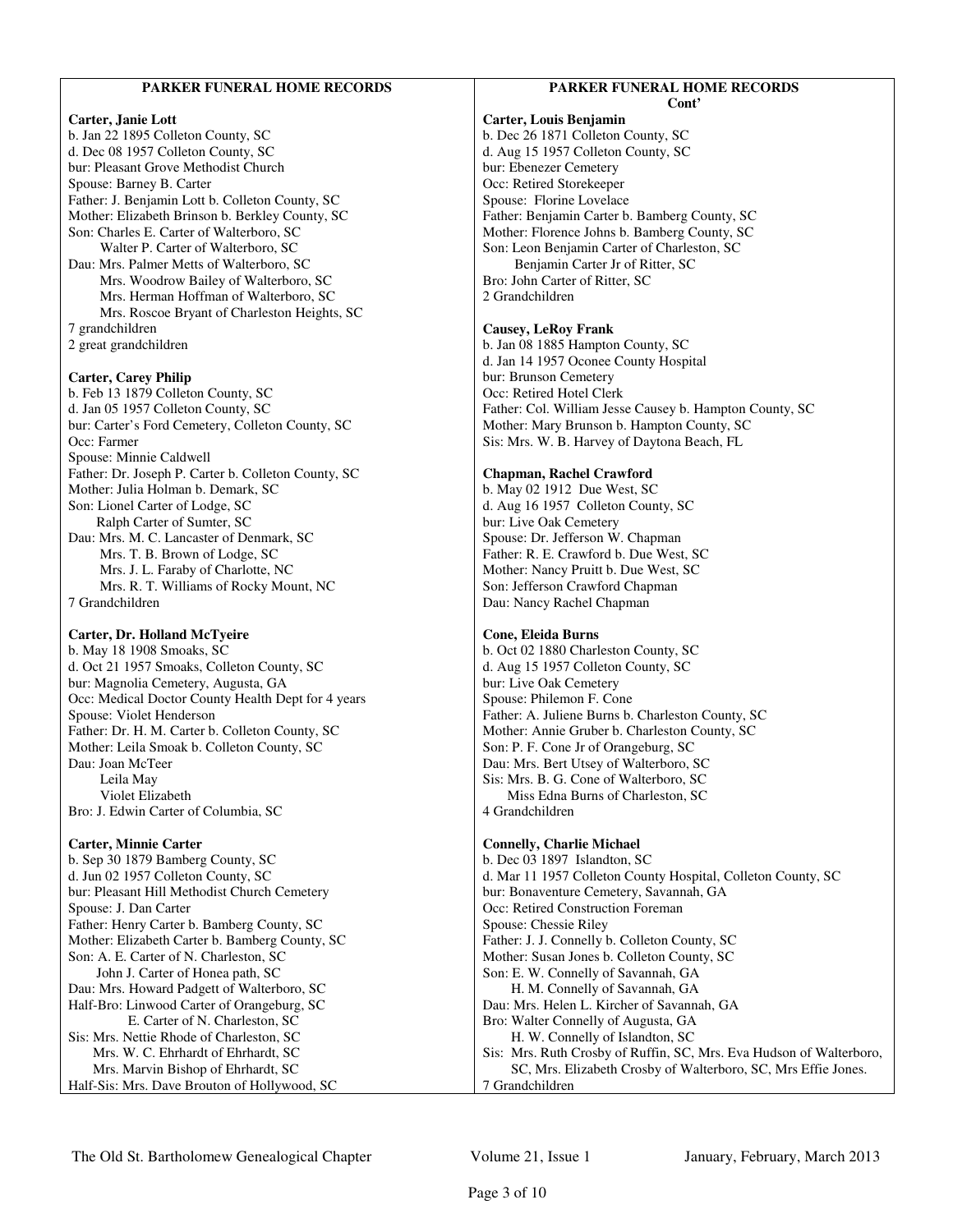#### **PARKER FUNERAL HOME RECORDS Carter, Janie Lott**  b. Jan 22 1895 Colleton County, SC d. Dec 08 1957 Colleton County, SC bur: Pleasant Grove Methodist Church Spouse: Barney B. Carter Father: J. Benjamin Lott b. Colleton County, SC Mother: Elizabeth Brinson b. Berkley County, SC Son: Charles E. Carter of Walterboro, SC Walter P. Carter of Walterboro, SC Dau: Mrs. Palmer Metts of Walterboro, SC Mrs. Woodrow Bailey of Walterboro, SC Mrs. Herman Hoffman of Walterboro, SC Mrs. Roscoe Bryant of Charleston Heights, SC 7 grandchildren 2 great grandchildren **Carter, Carey Philip**  b. Feb 13 1879 Colleton County, SC d. Jan 05 1957 Colleton County, SC bur: Carter's Ford Cemetery, Colleton County, SC Occ: Farmer Spouse: Minnie Caldwell Father: Dr. Joseph P. Carter b. Colleton County, SC Mother: Julia Holman b. Demark, SC Son: Lionel Carter of Lodge, SC Ralph Carter of Sumter, SC Dau: Mrs. M. C. Lancaster of Denmark, SC Mrs. T. B. Brown of Lodge, SC Mrs. J. L. Faraby of Charlotte, NC Mrs. R. T. Williams of Rocky Mount, NC 7 Grandchildren **Carter, Dr. Holland McTyeire**  b. May 18 1908 Smoaks, SC d. Oct 21 1957 Smoaks, Colleton County, SC bur: Magnolia Cemetery, Augusta, GA Occ: Medical Doctor County Health Dept for 4 years Spouse: Violet Henderson Father: Dr. H. M. Carter b. Colleton County, SC Mother: Leila Smoak b. Colleton County, SC Dau: Joan McTeer Leila May Violet Elizabeth Bro: J. Edwin Carter of Columbia, SC **Carter, Minnie Carter**  b. Sep 30 1879 Bamberg County, SC d. Jun 02 1957 Colleton County, SC bur: Pleasant Hill Methodist Church Cemetery Spouse: J. Dan Carter Father: Henry Carter b. Bamberg County, SC Mother: Elizabeth Carter b. Bamberg County, SC Son: A. E. Carter of N. Charleston, SC John J. Carter of Honea path, SC Dau: Mrs. Howard Padgett of Walterboro, SC Half-Bro: Linwood Carter of Orangeburg, SC E. Carter of N. Charleston, SC Sis: Mrs. Nettie Rhode of Charleston, SC Mrs. W. C. Ehrhardt of Ehrhardt, SC Mrs. Marvin Bishop of Ehrhardt, SC Half-Sis: Mrs. Dave Brouton of Hollywood, SC **PARKER FUNERAL HOME RECORDS Cont' Carter, Louis Benjamin**  b. Dec 26 1871 Colleton County, SC d. Aug 15 1957 Colleton County, SC bur: Ebenezer Cemetery Occ: Retired Storekeeper Spouse: Florine Lovelace Father: Benjamin Carter b. Bamberg County, SC Mother: Florence Johns b. Bamberg County, SC Son: Leon Benjamin Carter of Charleston, SC Benjamin Carter Jr of Ritter, SC Bro: John Carter of Ritter, SC 2 Grandchildren **Causey, LeRoy Frank**  b. Jan 08 1885 Hampton County, SC d. Jan 14 1957 Oconee County Hospital bur: Brunson Cemetery Occ: Retired Hotel Clerk Father: Col. William Jesse Causey b. Hampton County, SC Mother: Mary Brunson b. Hampton County, SC Sis: Mrs. W. B. Harvey of Daytona Beach, FL **Chapman, Rachel Crawford**  b. May 02 1912 Due West, SC d. Aug 16 1957 Colleton County, SC bur: Live Oak Cemetery Spouse: Dr. Jefferson W. Chapman Father: R. E. Crawford b. Due West, SC Mother: Nancy Pruitt b. Due West, SC Son: Jefferson Crawford Chapman Dau: Nancy Rachel Chapman **Cone, Eleida Burns**  b. Oct 02 1880 Charleston County, SC d. Aug 15 1957 Colleton County, SC bur: Live Oak Cemetery Spouse: Philemon F. Cone Father: A. Juliene Burns b. Charleston County, SC Mother: Annie Gruber b. Charleston County, SC Son: P. F. Cone Jr of Orangeburg, SC Dau: Mrs. Bert Utsey of Walterboro, SC Sis: Mrs. B. G. Cone of Walterboro, SC Miss Edna Burns of Charleston, SC 4 Grandchildren **Connelly, Charlie Michael**  b. Dec 03 1897 Islandton, SC d. Mar 11 1957 Colleton County Hospital, Colleton County, SC bur: Bonaventure Cemetery, Savannah, GA Occ: Retired Construction Foreman Spouse: Chessie Riley Father: J. J. Connelly b. Colleton County, SC Mother: Susan Jones b. Colleton County, SC Son: E. W. Connelly of Savannah, GA H. M. Connelly of Savannah, GA Dau: Mrs. Helen L. Kircher of Savannah, GA Bro: Walter Connelly of Augusta, GA H. W. Connelly of Islandton, SC Sis: Mrs. Ruth Crosby of Ruffin, SC, Mrs. Eva Hudson of Walterboro, SC, Mrs. Elizabeth Crosby of Walterboro, SC, Mrs Effie Jones. 7 Grandchildren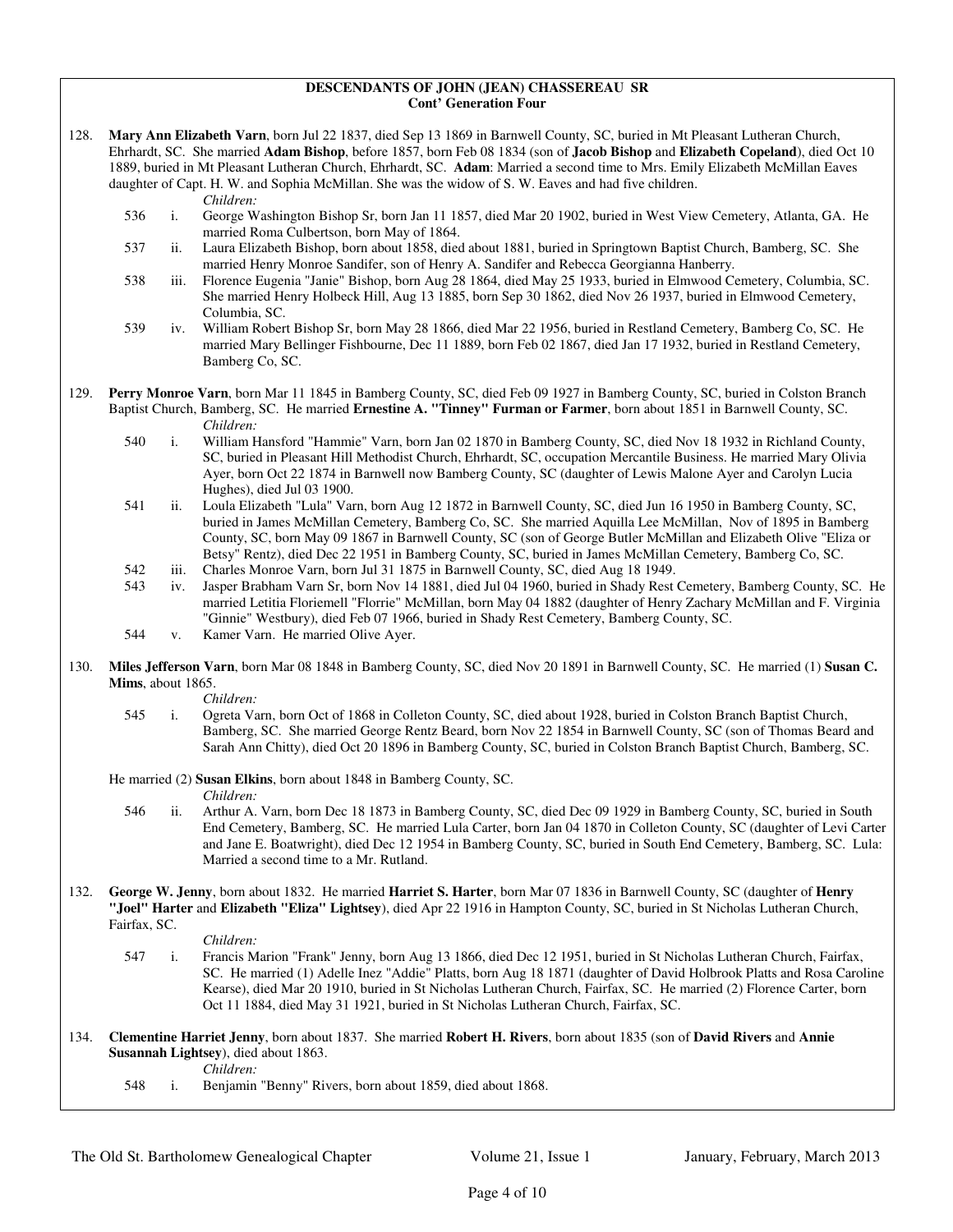#### **DESCENDANTS OF JOHN (JEAN) CHASSEREAU SR Cont' Generation Four**

- 128. **Mary Ann Elizabeth Varn**, born Jul 22 1837, died Sep 13 1869 in Barnwell County, SC, buried in Mt Pleasant Lutheran Church, Ehrhardt, SC. She married **Adam Bishop**, before 1857, born Feb 08 1834 (son of **Jacob Bishop** and **Elizabeth Copeland**), died Oct 10 1889, buried in Mt Pleasant Lutheran Church, Ehrhardt, SC. **Adam**: Married a second time to Mrs. Emily Elizabeth McMillan Eaves daughter of Capt. H. W. and Sophia McMillan. She was the widow of S. W. Eaves and had five children. *Children:*
	- 536 i. George Washington Bishop Sr, born Jan 11 1857, died Mar 20 1902, buried in West View Cemetery, Atlanta, GA. He married Roma Culbertson, born May of 1864.
	- 537 ii. Laura Elizabeth Bishop, born about 1858, died about 1881, buried in Springtown Baptist Church, Bamberg, SC. She married Henry Monroe Sandifer, son of Henry A. Sandifer and Rebecca Georgianna Hanberry.
	- 538 iii. Florence Eugenia "Janie" Bishop, born Aug 28 1864, died May 25 1933, buried in Elmwood Cemetery, Columbia, SC. She married Henry Holbeck Hill, Aug 13 1885, born Sep 30 1862, died Nov 26 1937, buried in Elmwood Cemetery, Columbia, SC.
	- 539 iv. William Robert Bishop Sr, born May 28 1866, died Mar 22 1956, buried in Restland Cemetery, Bamberg Co, SC. He married Mary Bellinger Fishbourne, Dec 11 1889, born Feb 02 1867, died Jan 17 1932, buried in Restland Cemetery, Bamberg Co, SC.
- 129. **Perry Monroe Varn**, born Mar 11 1845 in Bamberg County, SC, died Feb 09 1927 in Bamberg County, SC, buried in Colston Branch Baptist Church, Bamberg, SC. He married **Ernestine A. "Tinney" Furman or Farmer**, born about 1851 in Barnwell County, SC.
	- *Children:*<br>540 i. William F 540 i. William Hansford "Hammie" Varn, born Jan 02 1870 in Bamberg County, SC, died Nov 18 1932 in Richland County, SC, buried in Pleasant Hill Methodist Church, Ehrhardt, SC, occupation Mercantile Business. He married Mary Olivia Ayer, born Oct 22 1874 in Barnwell now Bamberg County, SC (daughter of Lewis Malone Ayer and Carolyn Lucia Hughes), died Jul 03 1900.
	- 541 ii. Loula Elizabeth "Lula" Varn, born Aug 12 1872 in Barnwell County, SC, died Jun 16 1950 in Bamberg County, SC, buried in James McMillan Cemetery, Bamberg Co, SC. She married Aquilla Lee McMillan, Nov of 1895 in Bamberg County, SC, born May 09 1867 in Barnwell County, SC (son of George Butler McMillan and Elizabeth Olive "Eliza or Betsy" Rentz), died Dec 22 1951 in Bamberg County, SC, buried in James McMillan Cemetery, Bamberg Co, SC.
	- 542 iii. Charles Monroe Varn, born Jul 31 1875 in Barnwell County, SC, died Aug 18 1949.
	- 543 iv. Jasper Brabham Varn Sr, born Nov 14 1881, died Jul 04 1960, buried in Shady Rest Cemetery, Bamberg County, SC. He married Letitia Floriemell "Florrie" McMillan, born May 04 1882 (daughter of Henry Zachary McMillan and F. Virginia "Ginnie" Westbury), died Feb 07 1966, buried in Shady Rest Cemetery, Bamberg County, SC.
	- 544 v. Kamer Varn. He married Olive Ayer.
- 130. **Miles Jefferson Varn**, born Mar 08 1848 in Bamberg County, SC, died Nov 20 1891 in Barnwell County, SC. He married (1) **Susan C. Mims**, about 1865.

*Children:*

- 545 i. Ogreta Varn, born Oct of 1868 in Colleton County, SC, died about 1928, buried in Colston Branch Baptist Church, Bamberg, SC. She married George Rentz Beard, born Nov 22 1854 in Barnwell County, SC (son of Thomas Beard and Sarah Ann Chitty), died Oct 20 1896 in Bamberg County, SC, buried in Colston Branch Baptist Church, Bamberg, SC.
- He married (2) **Susan Elkins**, born about 1848 in Bamberg County, SC.
	- *Children:*
	- 546 ii. Arthur A. Varn, born Dec 18 1873 in Bamberg County, SC, died Dec 09 1929 in Bamberg County, SC, buried in South End Cemetery, Bamberg, SC. He married Lula Carter, born Jan 04 1870 in Colleton County, SC (daughter of Levi Carter and Jane E. Boatwright), died Dec 12 1954 in Bamberg County, SC, buried in South End Cemetery, Bamberg, SC. Lula: Married a second time to a Mr. Rutland.
- 132. **George W. Jenny**, born about 1832. He married **Harriet S. Harter**, born Mar 07 1836 in Barnwell County, SC (daughter of **Henry "Joel" Harter** and **Elizabeth "Eliza" Lightsey**), died Apr 22 1916 in Hampton County, SC, buried in St Nicholas Lutheran Church, Fairfax, SC.

*Children:*

- 547 i. Francis Marion "Frank" Jenny, born Aug 13 1866, died Dec 12 1951, buried in St Nicholas Lutheran Church, Fairfax, SC. He married (1) Adelle Inez "Addie" Platts, born Aug 18 1871 (daughter of David Holbrook Platts and Rosa Caroline Kearse), died Mar 20 1910, buried in St Nicholas Lutheran Church, Fairfax, SC. He married (2) Florence Carter, born Oct 11 1884, died May 31 1921, buried in St Nicholas Lutheran Church, Fairfax, SC.
- 134. **Clementine Harriet Jenny**, born about 1837. She married **Robert H. Rivers**, born about 1835 (son of **David Rivers** and **Annie Susannah Lightsey**), died about 1863.

 *Children:* Benjamin "Benny" Rivers, born about 1859, died about 1868.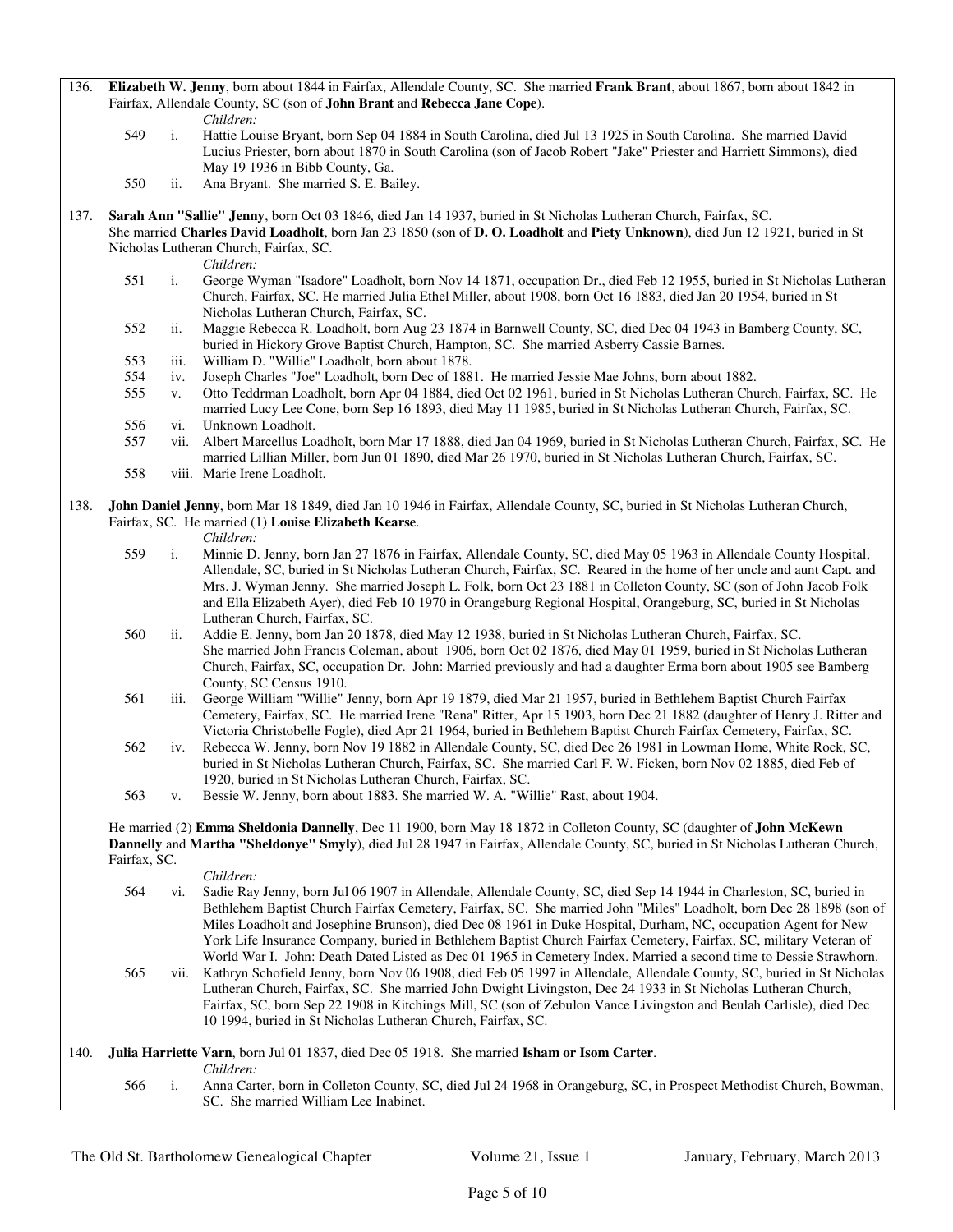136. **Elizabeth W. Jenny**, born about 1844 in Fairfax, Allendale County, SC. She married **Frank Brant**, about 1867, born about 1842 in Fairfax, Allendale County, SC (son of **John Brant** and **Rebecca Jane Cope**).

*Children:*<br>549 **i**. Hattie Lou

- i. Hattie Louise Bryant, born Sep 04 1884 in South Carolina, died Jul 13 1925 in South Carolina. She married David Lucius Priester, born about 1870 in South Carolina (son of Jacob Robert "Jake" Priester and Harriett Simmons), died May 19 1936 in Bibb County, Ga.
- 550 ii. Ana Bryant. She married S. E. Bailey.

137. **Sarah Ann "Sallie" Jenny**, born Oct 03 1846, died Jan 14 1937, buried in St Nicholas Lutheran Church, Fairfax, SC. She married **Charles David Loadholt**, born Jan 23 1850 (son of **D. O. Loadholt** and **Piety Unknown**), died Jun 12 1921, buried in St Nicholas Lutheran Church, Fairfax, SC.

- *Children:*<br>551 i. George W i. George Wyman "Isadore" Loadholt, born Nov 14 1871, occupation Dr., died Feb 12 1955, buried in St Nicholas Lutheran Church, Fairfax, SC. He married Julia Ethel Miller, about 1908, born Oct 16 1883, died Jan 20 1954, buried in St Nicholas Lutheran Church, Fairfax, SC.
- 552 ii. Maggie Rebecca R. Loadholt, born Aug 23 1874 in Barnwell County, SC, died Dec 04 1943 in Bamberg County, SC, buried in Hickory Grove Baptist Church, Hampton, SC. She married Asberry Cassie Barnes.
- 553 iii. William D. "Willie" Loadholt, born about 1878.
- 554 iv. Joseph Charles "Joe" Loadholt, born Dec of 1881. He married Jessie Mae Johns, born about 1882.
- 555 v. Otto Teddrman Loadholt, born Apr 04 1884, died Oct 02 1961, buried in St Nicholas Lutheran Church, Fairfax, SC. He married Lucy Lee Cone, born Sep 16 1893, died May 11 1985, buried in St Nicholas Lutheran Church, Fairfax, SC. 556 vi. Unknown Loadholt.
- 557 vii. Albert Marcellus Loadholt, born Mar 17 1888, died Jan 04 1969, buried in St Nicholas Lutheran Church, Fairfax, SC. He married Lillian Miller, born Jun 01 1890, died Mar 26 1970, buried in St Nicholas Lutheran Church, Fairfax, SC.
- 558 viii. Marie Irene Loadholt.

#### 138. **John Daniel Jenny**, born Mar 18 1849, died Jan 10 1946 in Fairfax, Allendale County, SC, buried in St Nicholas Lutheran Church, Fairfax, SC. He married (1) **Louise Elizabeth Kearse**.

*Children:*

- 559 i. Minnie D. Jenny, born Jan 27 1876 in Fairfax, Allendale County, SC, died May 05 1963 in Allendale County Hospital, Allendale, SC, buried in St Nicholas Lutheran Church, Fairfax, SC. Reared in the home of her uncle and aunt Capt. and Mrs. J. Wyman Jenny. She married Joseph L. Folk, born Oct 23 1881 in Colleton County, SC (son of John Jacob Folk and Ella Elizabeth Ayer), died Feb 10 1970 in Orangeburg Regional Hospital, Orangeburg, SC, buried in St Nicholas Lutheran Church, Fairfax, SC.
- 560 ii. Addie E. Jenny, born Jan 20 1878, died May 12 1938, buried in St Nicholas Lutheran Church, Fairfax, SC. She married John Francis Coleman, about 1906, born Oct 02 1876, died May 01 1959, buried in St Nicholas Lutheran Church, Fairfax, SC, occupation Dr. John: Married previously and had a daughter Erma born about 1905 see Bamberg County, SC Census 1910.
- 561 iii. George William "Willie" Jenny, born Apr 19 1879, died Mar 21 1957, buried in Bethlehem Baptist Church Fairfax Cemetery, Fairfax, SC. He married Irene "Rena" Ritter, Apr 15 1903, born Dec 21 1882 (daughter of Henry J. Ritter and Victoria Christobelle Fogle), died Apr 21 1964, buried in Bethlehem Baptist Church Fairfax Cemetery, Fairfax, SC.
- 562 iv. Rebecca W. Jenny, born Nov 19 1882 in Allendale County, SC, died Dec 26 1981 in Lowman Home, White Rock, SC, buried in St Nicholas Lutheran Church, Fairfax, SC. She married Carl F. W. Ficken, born Nov 02 1885, died Feb of 1920, buried in St Nicholas Lutheran Church, Fairfax, SC.
- 563 v. Bessie W. Jenny, born about 1883. She married W. A. "Willie" Rast, about 1904.

 He married (2) **Emma Sheldonia Dannelly**, Dec 11 1900, born May 18 1872 in Colleton County, SC (daughter of **John McKewn Dannelly** and **Martha "Sheldonye" Smyly**), died Jul 28 1947 in Fairfax, Allendale County, SC, buried in St Nicholas Lutheran Church, Fairfax, SC.

|      |     | Children:                                                                                                                  |
|------|-----|----------------------------------------------------------------------------------------------------------------------------|
|      | 564 | vi. Sadie Ray Jenny, born Jul 06 1907 in Allendale, Allendale County, SC, died Sep 14 1944 in Charleston, SC, buried in    |
|      |     | Bethlehem Baptist Church Fairfax Cemetery, Fairfax, SC. She married John "Miles" Loadholt, born Dec 28 1898 (son of        |
|      |     | Miles Loadholt and Josephine Brunson), died Dec 08 1961 in Duke Hospital, Durham, NC, occupation Agent for New             |
|      |     | York Life Insurance Company, buried in Bethlehem Baptist Church Fairfax Cemetery, Fairfax, SC, military Veteran of         |
|      |     | World War I. John: Death Dated Listed as Dec 01 1965 in Cemetery Index. Married a second time to Dessie Strawhorn.         |
|      | 565 | vii. Kathryn Schofield Jenny, born Nov 06 1908, died Feb 05 1997 in Allendale, Allendale County, SC, buried in St Nicholas |
|      |     | Lutheran Church, Fairfax, SC. She married John Dwight Livingston, Dec 24 1933 in St Nicholas Lutheran Church,              |
|      |     | Fairfax, SC, born Sep 22 1908 in Kitchings Mill, SC (son of Zebulon Vance Livingston and Beulah Carlisle), died Dec        |
|      |     | 10 1994, buried in St Nicholas Lutheran Church, Fairfax, SC.                                                               |
|      |     |                                                                                                                            |
| 140. |     | <b>Julia Harriette Varn</b> , born Jul 01 1837, died Dec 05 1918. She married Isham or Isom Carter.                        |
|      |     | Children:                                                                                                                  |
|      | 566 | Anna Carter, born in Colleton County, SC, died Jul 24 1968 in Orangeburg, SC, in Prospect Methodist Church, Bowman,        |
|      |     | SC. She married William Lee Inabinet.                                                                                      |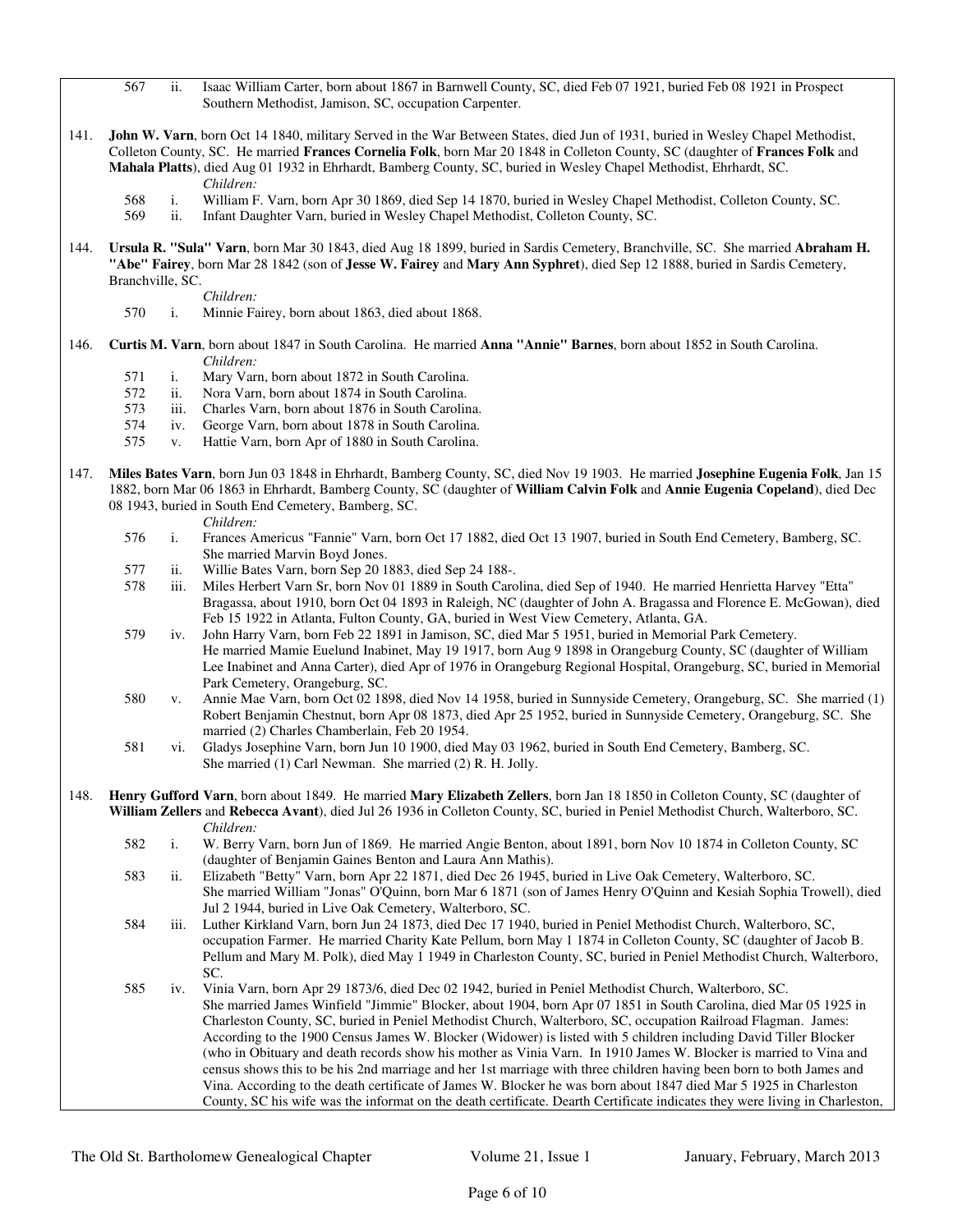- 567 ii. Isaac William Carter, born about 1867 in Barnwell County, SC, died Feb 07 1921, buried Feb 08 1921 in Prospect Southern Methodist, Jamison, SC, occupation Carpenter.
- 141. **John W. Varn**, born Oct 14 1840, military Served in the War Between States, died Jun of 1931, buried in Wesley Chapel Methodist, Colleton County, SC. He married **Frances Cornelia Folk**, born Mar 20 1848 in Colleton County, SC (daughter of **Frances Folk** and **Mahala Platts**), died Aug 01 1932 in Ehrhardt, Bamberg County, SC, buried in Wesley Chapel Methodist, Ehrhardt, SC. *Children:*
	- 568 i. William F. Varn, born Apr 30 1869, died Sep 14 1870, buried in Wesley Chapel Methodist, Colleton County, SC.
		- ii. Infant Daughter Varn, buried in Wesley Chapel Methodist, Colleton County, SC.
- 144. **Ursula R. "Sula" Varn**, born Mar 30 1843, died Aug 18 1899, buried in Sardis Cemetery, Branchville, SC. She married **Abraham H. "Abe" Fairey**, born Mar 28 1842 (son of **Jesse W. Fairey** and **Mary Ann Syphret**), died Sep 12 1888, buried in Sardis Cemetery, Branchville, SC.

*Children:*

- 570 i. Minnie Fairey, born about 1863, died about 1868.
- 146. **Curtis M. Varn**, born about 1847 in South Carolina. He married **Anna "Annie" Barnes**, born about 1852 in South Carolina. *Children:*
	- 571 i. Mary Varn, born about 1872 in South Carolina.
	- 572 ii. Nora Varn, born about 1874 in South Carolina.
	- 573 iii. Charles Varn, born about 1876 in South Carolina.<br>574 iv. George Varn, born about 1878 in South Carolina.
	- 574 iv. George Varn, born about 1878 in South Carolina.<br>575 v. Hattie Varn, born Apr of 1880 in South Carolina.
	- v. Hattie Varn, born Apr of 1880 in South Carolina.
- 147. **Miles Bates Varn**, born Jun 03 1848 in Ehrhardt, Bamberg County, SC, died Nov 19 1903. He married **Josephine Eugenia Folk**, Jan 15 1882, born Mar 06 1863 in Ehrhardt, Bamberg County, SC (daughter of **William Calvin Folk** and **Annie Eugenia Copeland**), died Dec 08 1943, buried in South End Cemetery, Bamberg, SC.

- *Children:*<br>576 i. Frances A 576 i. Frances Americus "Fannie" Varn, born Oct 17 1882, died Oct 13 1907, buried in South End Cemetery, Bamberg, SC. She married Marvin Boyd Jones.
- 577 ii. Willie Bates Varn, born Sep 20 1883, died Sep 24 188-.
- 578 iii. Miles Herbert Varn Sr, born Nov 01 1889 in South Carolina, died Sep of 1940. He married Henrietta Harvey "Etta" Bragassa, about 1910, born Oct 04 1893 in Raleigh, NC (daughter of John A. Bragassa and Florence E. McGowan), died Feb 15 1922 in Atlanta, Fulton County, GA, buried in West View Cemetery, Atlanta, GA.
- 579 iv. John Harry Varn, born Feb 22 1891 in Jamison, SC, died Mar 5 1951, buried in Memorial Park Cemetery. He married Mamie Euelund Inabinet, May 19 1917, born Aug 9 1898 in Orangeburg County, SC (daughter of William Lee Inabinet and Anna Carter), died Apr of 1976 in Orangeburg Regional Hospital, Orangeburg, SC, buried in Memorial Park Cemetery, Orangeburg, SC.
- 580 v. Annie Mae Varn, born Oct 02 1898, died Nov 14 1958, buried in Sunnyside Cemetery, Orangeburg, SC. She married (1) Robert Benjamin Chestnut, born Apr 08 1873, died Apr 25 1952, buried in Sunnyside Cemetery, Orangeburg, SC. She married (2) Charles Chamberlain, Feb 20 1954.
- 581 vi. Gladys Josephine Varn, born Jun 10 1900, died May 03 1962, buried in South End Cemetery, Bamberg, SC. She married (1) Carl Newman. She married (2) R. H. Jolly.
- 148. **Henry Gufford Varn**, born about 1849. He married **Mary Elizabeth Zellers**, born Jan 18 1850 in Colleton County, SC (daughter of **William Zellers** and **Rebecca Avant**), died Jul 26 1936 in Colleton County, SC, buried in Peniel Methodist Church, Walterboro, SC.
	- *Children:*<br>582 i W Berry i. W. Berry Varn, born Jun of 1869. He married Angie Benton, about 1891, born Nov 10 1874 in Colleton County, SC (daughter of Benjamin Gaines Benton and Laura Ann Mathis).
	- 583 ii. Elizabeth "Betty" Varn, born Apr 22 1871, died Dec 26 1945, buried in Live Oak Cemetery, Walterboro, SC. She married William "Jonas" O'Quinn, born Mar 6 1871 (son of James Henry O'Quinn and Kesiah Sophia Trowell), died Jul 2 1944, buried in Live Oak Cemetery, Walterboro, SC.
	- 584 iii. Luther Kirkland Varn, born Jun 24 1873, died Dec 17 1940, buried in Peniel Methodist Church, Walterboro, SC, occupation Farmer. He married Charity Kate Pellum, born May 1 1874 in Colleton County, SC (daughter of Jacob B. Pellum and Mary M. Polk), died May 1 1949 in Charleston County, SC, buried in Peniel Methodist Church, Walterboro, SC.
	- 585 iv. Vinia Varn, born Apr 29 1873/6, died Dec 02 1942, buried in Peniel Methodist Church, Walterboro, SC. She married James Winfield "Jimmie" Blocker, about 1904, born Apr 07 1851 in South Carolina, died Mar 05 1925 in Charleston County, SC, buried in Peniel Methodist Church, Walterboro, SC, occupation Railroad Flagman. James: According to the 1900 Census James W. Blocker (Widower) is listed with 5 children including David Tiller Blocker (who in Obituary and death records show his mother as Vinia Varn. In 1910 James W. Blocker is married to Vina and census shows this to be his 2nd marriage and her 1st marriage with three children having been born to both James and Vina. According to the death certificate of James W. Blocker he was born about 1847 died Mar 5 1925 in Charleston County, SC his wife was the informat on the death certificate. Dearth Certificate indicates they were living in Charleston,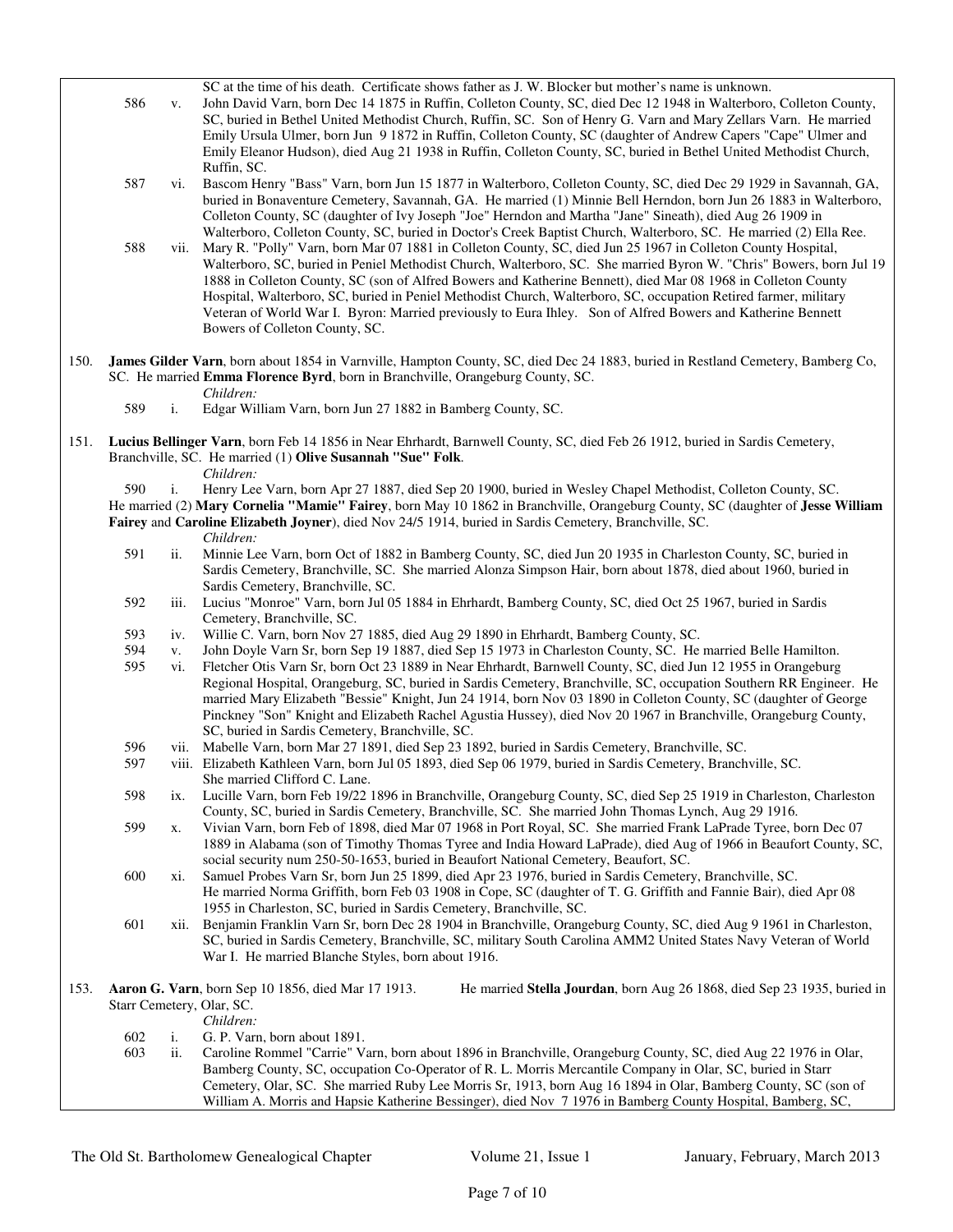|      | 586                                                                                                                                                                                                                            | V.                        | SC at the time of his death. Certificate shows father as J. W. Blocker but mother's name is unknown.<br>John David Varn, born Dec 14 1875 in Ruffin, Colleton County, SC, died Dec 12 1948 in Walterboro, Colleton County,<br>SC, buried in Bethel United Methodist Church, Ruffin, SC. Son of Henry G. Varn and Mary Zellars Varn. He married<br>Emily Ursula Ulmer, born Jun 9 1872 in Ruffin, Colleton County, SC (daughter of Andrew Capers "Cape" Ulmer and<br>Emily Eleanor Hudson), died Aug 21 1938 in Ruffin, Colleton County, SC, buried in Bethel United Methodist Church,<br>Ruffin, SC.                      |  |  |  |
|------|--------------------------------------------------------------------------------------------------------------------------------------------------------------------------------------------------------------------------------|---------------------------|---------------------------------------------------------------------------------------------------------------------------------------------------------------------------------------------------------------------------------------------------------------------------------------------------------------------------------------------------------------------------------------------------------------------------------------------------------------------------------------------------------------------------------------------------------------------------------------------------------------------------|--|--|--|
|      | 587                                                                                                                                                                                                                            | $\overline{\mathbf{v}}$ . | Bascom Henry "Bass" Varn, born Jun 15 1877 in Walterboro, Colleton County, SC, died Dec 29 1929 in Savannah, GA,<br>buried in Bonaventure Cemetery, Savannah, GA. He married (1) Minnie Bell Herndon, born Jun 26 1883 in Walterboro,<br>Colleton County, SC (daughter of Ivy Joseph "Joe" Herndon and Martha "Jane" Sineath), died Aug 26 1909 in<br>Walterboro, Colleton County, SC, buried in Doctor's Creek Baptist Church, Walterboro, SC. He married (2) Ella Ree.                                                                                                                                                  |  |  |  |
|      | 588                                                                                                                                                                                                                            | vii.                      | Mary R. "Polly" Varn, born Mar 07 1881 in Colleton County, SC, died Jun 25 1967 in Colleton County Hospital,<br>Walterboro, SC, buried in Peniel Methodist Church, Walterboro, SC. She married Byron W. "Chris" Bowers, born Jul 19<br>1888 in Colleton County, SC (son of Alfred Bowers and Katherine Bennett), died Mar 08 1968 in Colleton County<br>Hospital, Walterboro, SC, buried in Peniel Methodist Church, Walterboro, SC, occupation Retired farmer, military<br>Veteran of World War I. Byron: Married previously to Eura Ihley. Son of Alfred Bowers and Katherine Bennett<br>Bowers of Colleton County, SC. |  |  |  |
| 150. | James Gilder Varn, born about 1854 in Varnville, Hampton County, SC, died Dec 24 1883, buried in Restland Cemetery, Bamberg Co,<br>SC. He married Emma Florence Byrd, born in Branchville, Orangeburg County, SC.<br>Children: |                           |                                                                                                                                                                                                                                                                                                                                                                                                                                                                                                                                                                                                                           |  |  |  |
|      | 589                                                                                                                                                                                                                            | i.                        | Edgar William Varn, born Jun 27 1882 in Bamberg County, SC.                                                                                                                                                                                                                                                                                                                                                                                                                                                                                                                                                               |  |  |  |
| 151. |                                                                                                                                                                                                                                |                           | Lucius Bellinger Varn, born Feb 14 1856 in Near Ehrhardt, Barnwell County, SC, died Feb 26 1912, buried in Sardis Cemetery,<br>Branchville, SC. He married (1) Olive Susannah "Sue" Folk.<br>Children:                                                                                                                                                                                                                                                                                                                                                                                                                    |  |  |  |
|      | 590                                                                                                                                                                                                                            | i.                        | Henry Lee Varn, born Apr 27 1887, died Sep 20 1900, buried in Wesley Chapel Methodist, Colleton County, SC.                                                                                                                                                                                                                                                                                                                                                                                                                                                                                                               |  |  |  |
|      |                                                                                                                                                                                                                                |                           | He married (2) Mary Cornelia "Mamie" Fairey, born May 10 1862 in Branchville, Orangeburg County, SC (daughter of Jesse William                                                                                                                                                                                                                                                                                                                                                                                                                                                                                            |  |  |  |
|      |                                                                                                                                                                                                                                |                           | Fairey and Caroline Elizabeth Joyner), died Nov 24/5 1914, buried in Sardis Cemetery, Branchville, SC.                                                                                                                                                                                                                                                                                                                                                                                                                                                                                                                    |  |  |  |
|      | 591                                                                                                                                                                                                                            | ii.                       | Children:<br>Minnie Lee Varn, born Oct of 1882 in Bamberg County, SC, died Jun 20 1935 in Charleston County, SC, buried in<br>Sardis Cemetery, Branchville, SC. She married Alonza Simpson Hair, born about 1878, died about 1960, buried in                                                                                                                                                                                                                                                                                                                                                                              |  |  |  |
|      | 592                                                                                                                                                                                                                            | iii.                      | Sardis Cemetery, Branchville, SC.<br>Lucius "Monroe" Varn, born Jul 05 1884 in Ehrhardt, Bamberg County, SC, died Oct 25 1967, buried in Sardis                                                                                                                                                                                                                                                                                                                                                                                                                                                                           |  |  |  |
|      | 593                                                                                                                                                                                                                            | iv.                       | Cemetery, Branchville, SC.<br>Willie C. Varn, born Nov 27 1885, died Aug 29 1890 in Ehrhardt, Bamberg County, SC.                                                                                                                                                                                                                                                                                                                                                                                                                                                                                                         |  |  |  |
|      | 594                                                                                                                                                                                                                            | V.                        | John Doyle Varn Sr, born Sep 19 1887, died Sep 15 1973 in Charleston County, SC. He married Belle Hamilton.                                                                                                                                                                                                                                                                                                                                                                                                                                                                                                               |  |  |  |
|      | 595                                                                                                                                                                                                                            | vi.                       | Fletcher Otis Varn Sr, born Oct 23 1889 in Near Ehrhardt, Barnwell County, SC, died Jun 12 1955 in Orangeburg<br>Regional Hospital, Orangeburg, SC, buried in Sardis Cemetery, Branchville, SC, occupation Southern RR Engineer. He<br>married Mary Elizabeth "Bessie" Knight, Jun 24 1914, born Nov 03 1890 in Colleton County, SC (daughter of George<br>Pinckney "Son" Knight and Elizabeth Rachel Agustia Hussey), died Nov 20 1967 in Branchville, Orangeburg County,<br>SC, buried in Sardis Cemetery, Branchville, SC.                                                                                             |  |  |  |
|      | 596                                                                                                                                                                                                                            | V11.                      | Mabelle Varn, born Mar 27 1891, died Sep 23 1892, buried in Sardis Cemetery, Branchville, SC.                                                                                                                                                                                                                                                                                                                                                                                                                                                                                                                             |  |  |  |
|      | 597                                                                                                                                                                                                                            |                           | viii. Elizabeth Kathleen Varn, born Jul 05 1893, died Sep 06 1979, buried in Sardis Cemetery, Branchville, SC.                                                                                                                                                                                                                                                                                                                                                                                                                                                                                                            |  |  |  |
|      | 598                                                                                                                                                                                                                            | ix.                       | She married Clifford C. Lane.<br>Lucille Varn, born Feb 19/22 1896 in Branchville, Orangeburg County, SC, died Sep 25 1919 in Charleston, Charleston                                                                                                                                                                                                                                                                                                                                                                                                                                                                      |  |  |  |
|      | 599                                                                                                                                                                                                                            | х.                        | County, SC, buried in Sardis Cemetery, Branchville, SC. She married John Thomas Lynch, Aug 29 1916.<br>Vivian Varn, born Feb of 1898, died Mar 07 1968 in Port Royal, SC. She married Frank LaPrade Tyree, born Dec 07<br>1889 in Alabama (son of Timothy Thomas Tyree and India Howard LaPrade), died Aug of 1966 in Beaufort County, SC,                                                                                                                                                                                                                                                                                |  |  |  |
|      | 600                                                                                                                                                                                                                            | Xi.                       | social security num 250-50-1653, buried in Beaufort National Cemetery, Beaufort, SC.<br>Samuel Probes Varn Sr, born Jun 25 1899, died Apr 23 1976, buried in Sardis Cemetery, Branchville, SC.<br>He married Norma Griffith, born Feb 03 1908 in Cope, SC (daughter of T. G. Griffith and Fannie Bair), died Apr 08                                                                                                                                                                                                                                                                                                       |  |  |  |
|      | 601                                                                                                                                                                                                                            | <b>xii.</b>               | 1955 in Charleston, SC, buried in Sardis Cemetery, Branchville, SC.<br>Benjamin Franklin Varn Sr, born Dec 28 1904 in Branchville, Orangeburg County, SC, died Aug 9 1961 in Charleston,<br>SC, buried in Sardis Cemetery, Branchville, SC, military South Carolina AMM2 United States Navy Veteran of World<br>War I. He married Blanche Styles, born about 1916.                                                                                                                                                                                                                                                        |  |  |  |
|      |                                                                                                                                                                                                                                |                           |                                                                                                                                                                                                                                                                                                                                                                                                                                                                                                                                                                                                                           |  |  |  |
| 153. |                                                                                                                                                                                                                                |                           | Aaron G. Varn, born Sep 10 1856, died Mar 17 1913.<br>He married Stella Jourdan, born Aug 26 1868, died Sep 23 1935, buried in<br>Starr Cemetery, Olar, SC.                                                                                                                                                                                                                                                                                                                                                                                                                                                               |  |  |  |
|      |                                                                                                                                                                                                                                |                           | Children:                                                                                                                                                                                                                                                                                                                                                                                                                                                                                                                                                                                                                 |  |  |  |
|      | 602<br>603                                                                                                                                                                                                                     | i.<br>ii.                 | G. P. Varn, born about 1891.<br>Caroline Rommel "Carrie" Varn, born about 1896 in Branchville, Orangeburg County, SC, died Aug 22 1976 in Olar,<br>Bamberg County, SC, occupation Co-Operator of R. L. Morris Mercantile Company in Olar, SC, buried in Starr<br>Cemetery, Olar, SC. She married Ruby Lee Morris Sr, 1913, born Aug 16 1894 in Olar, Bamberg County, SC (son of                                                                                                                                                                                                                                           |  |  |  |
|      |                                                                                                                                                                                                                                |                           | William A. Morris and Hapsie Katherine Bessinger), died Nov 7 1976 in Bamberg County Hospital, Bamberg, SC,                                                                                                                                                                                                                                                                                                                                                                                                                                                                                                               |  |  |  |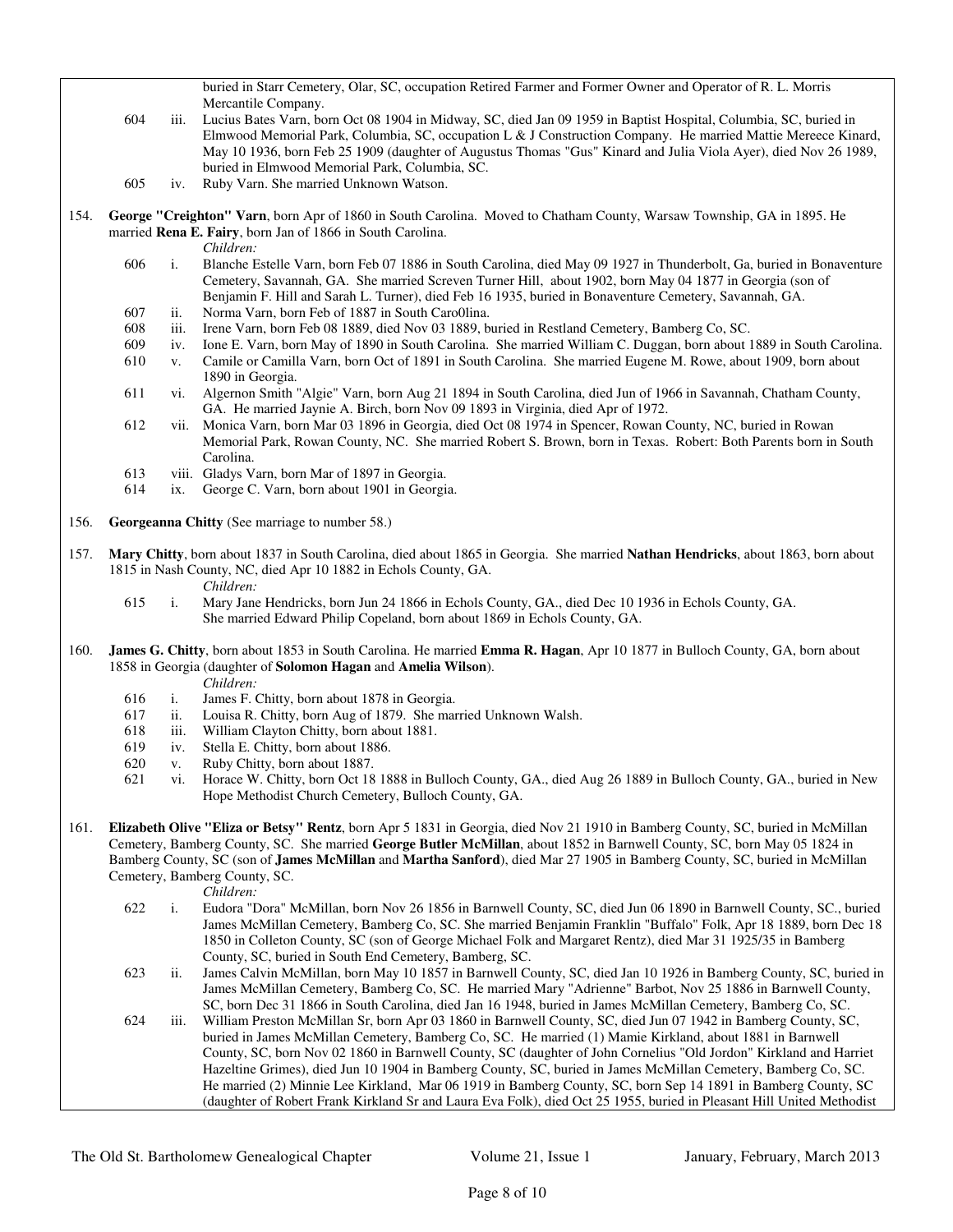buried in Starr Cemetery, Olar, SC, occupation Retired Farmer and Former Owner and Operator of R. L. Morris Mercantile Company.

- 604 iii. Lucius Bates Varn, born Oct 08 1904 in Midway, SC, died Jan 09 1959 in Baptist Hospital, Columbia, SC, buried in Elmwood Memorial Park, Columbia, SC, occupation L & J Construction Company. He married Mattie Mereece Kinard, May 10 1936, born Feb 25 1909 (daughter of Augustus Thomas "Gus" Kinard and Julia Viola Ayer), died Nov 26 1989, buried in Elmwood Memorial Park, Columbia, SC.
- 605 iv. Ruby Varn. She married Unknown Watson.
- 154. **George "Creighton" Varn**, born Apr of 1860 in South Carolina. Moved to Chatham County, Warsaw Township, GA in 1895. He married **Rena E. Fairy**, born Jan of 1866 in South Carolina.
	- *Children:*
	- 606 i. Blanche Estelle Varn, born Feb 07 1886 in South Carolina, died May 09 1927 in Thunderbolt, Ga, buried in Bonaventure Cemetery, Savannah, GA. She married Screven Turner Hill, about 1902, born May 04 1877 in Georgia (son of Benjamin F. Hill and Sarah L. Turner), died Feb 16 1935, buried in Bonaventure Cemetery, Savannah, GA.
	- 607 ii. Norma Varn, born Feb of 1887 in South Caro0lina.
	- 608 iii. Irene Varn, born Feb 08 1889, died Nov 03 1889, buried in Restland Cemetery, Bamberg Co, SC.
	- 609 iv. Ione E. Varn, born May of 1890 in South Carolina. She married William C. Duggan, born about 1889 in South Carolina.
	- 610 v. Camile or Camilla Varn, born Oct of 1891 in South Carolina. She married Eugene M. Rowe, about 1909, born about 1890 in Georgia.
	- 611 vi. Algernon Smith "Algie" Varn, born Aug 21 1894 in South Carolina, died Jun of 1966 in Savannah, Chatham County, GA. He married Jaynie A. Birch, born Nov 09 1893 in Virginia, died Apr of 1972.
	- 612 vii. Monica Varn, born Mar 03 1896 in Georgia, died Oct 08 1974 in Spencer, Rowan County, NC, buried in Rowan Memorial Park, Rowan County, NC. She married Robert S. Brown, born in Texas. Robert: Both Parents born in South Carolina.
	- 613 viii. Gladys Varn, born Mar of 1897 in Georgia.
	- 614 ix. George C. Varn, born about 1901 in Georgia.
- 156. **Georgeanna Chitty** (See marriage to number 58.)
- 157. **Mary Chitty**, born about 1837 in South Carolina, died about 1865 in Georgia. She married **Nathan Hendricks**, about 1863, born about 1815 in Nash County, NC, died Apr 10 1882 in Echols County, GA.
	- *Children:*
	- 615 i. Mary Jane Hendricks, born Jun 24 1866 in Echols County, GA., died Dec 10 1936 in Echols County, GA. She married Edward Philip Copeland, born about 1869 in Echols County, GA.
- 160. **James G. Chitty**, born about 1853 in South Carolina. He married **Emma R. Hagan**, Apr 10 1877 in Bulloch County, GA, born about 1858 in Georgia (daughter of **Solomon Hagan** and **Amelia Wilson**).
	- *Children:*
	- 616 i. James F. Chitty, born about 1878 in Georgia.
	- 617 ii. Louisa R. Chitty, born Aug of 1879. She married Unknown Walsh.
	- 618 iii. William Clayton Chitty, born about 1881.
	- 619 iv. Stella E. Chitty, born about 1886.
	- 620 v. Ruby Chitty, born about 1887.
	- 621 vi. Horace W. Chitty, born Oct 18 1888 in Bulloch County, GA., died Aug 26 1889 in Bulloch County, GA., buried in New Hope Methodist Church Cemetery, Bulloch County, GA.
- 161. **Elizabeth Olive "Eliza or Betsy" Rentz**, born Apr 5 1831 in Georgia, died Nov 21 1910 in Bamberg County, SC, buried in McMillan Cemetery, Bamberg County, SC. She married **George Butler McMillan**, about 1852 in Barnwell County, SC, born May 05 1824 in Bamberg County, SC (son of **James McMillan** and **Martha Sanford**), died Mar 27 1905 in Bamberg County, SC, buried in McMillan Cemetery, Bamberg County, SC.

*Children:*

- 622 i. Eudora "Dora" McMillan, born Nov 26 1856 in Barnwell County, SC, died Jun 06 1890 in Barnwell County, SC., buried James McMillan Cemetery, Bamberg Co, SC. She married Benjamin Franklin "Buffalo" Folk, Apr 18 1889, born Dec 18 1850 in Colleton County, SC (son of George Michael Folk and Margaret Rentz), died Mar 31 1925/35 in Bamberg County, SC, buried in South End Cemetery, Bamberg, SC.
- 623 ii. James Calvin McMillan, born May 10 1857 in Barnwell County, SC, died Jan 10 1926 in Bamberg County, SC, buried in James McMillan Cemetery, Bamberg Co, SC. He married Mary "Adrienne" Barbot, Nov 25 1886 in Barnwell County, SC, born Dec 31 1866 in South Carolina, died Jan 16 1948, buried in James McMillan Cemetery, Bamberg Co, SC.
- 624 iii. William Preston McMillan Sr, born Apr 03 1860 in Barnwell County, SC, died Jun 07 1942 in Bamberg County, SC, buried in James McMillan Cemetery, Bamberg Co, SC. He married (1) Mamie Kirkland, about 1881 in Barnwell County, SC, born Nov 02 1860 in Barnwell County, SC (daughter of John Cornelius "Old Jordon" Kirkland and Harriet Hazeltine Grimes), died Jun 10 1904 in Bamberg County, SC, buried in James McMillan Cemetery, Bamberg Co, SC. He married (2) Minnie Lee Kirkland, Mar 06 1919 in Bamberg County, SC, born Sep 14 1891 in Bamberg County, SC (daughter of Robert Frank Kirkland Sr and Laura Eva Folk), died Oct 25 1955, buried in Pleasant Hill United Methodist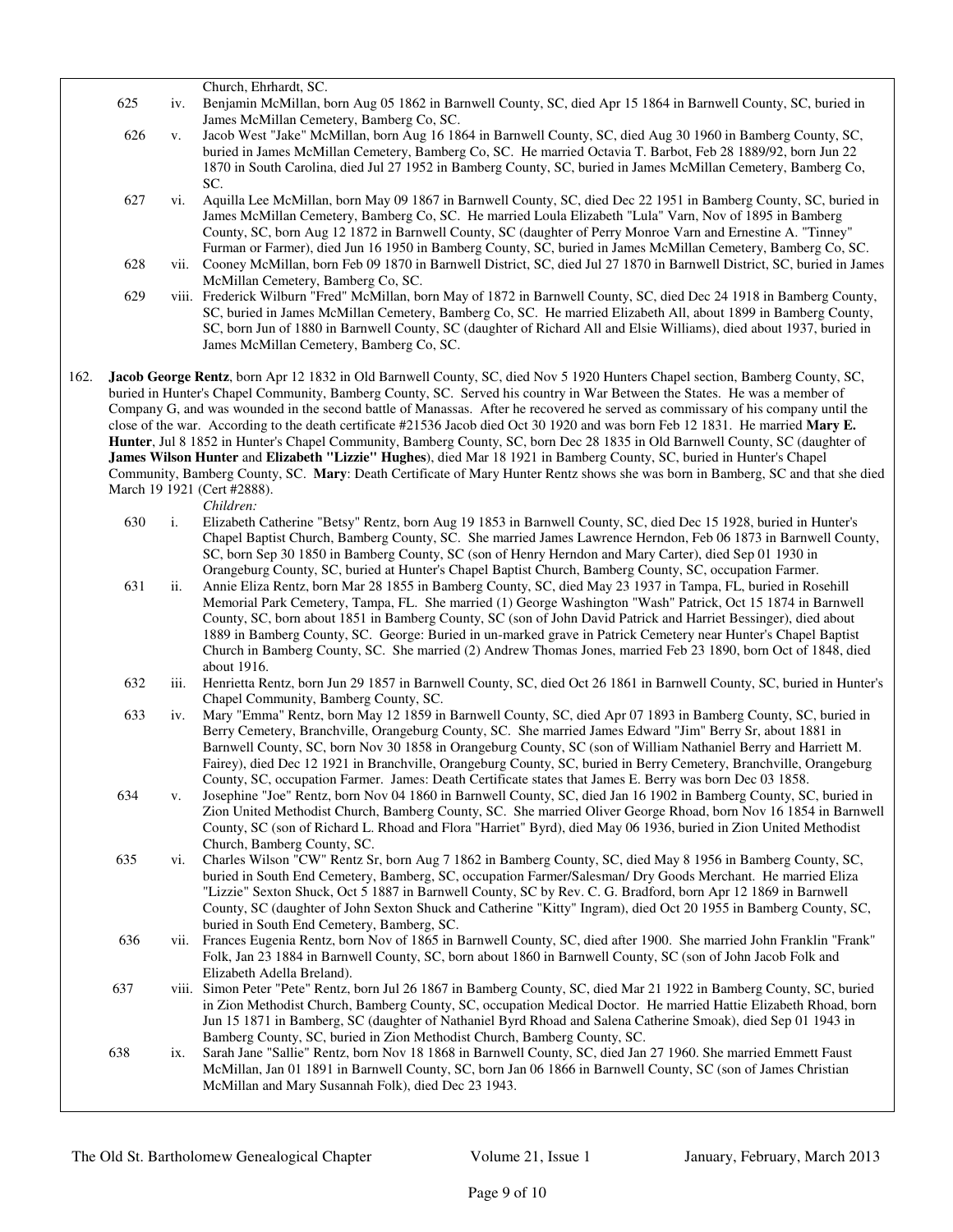|      | 625 | iv.  | Church, Ehrhardt, SC.<br>Benjamin McMillan, born Aug 05 1862 in Barnwell County, SC, died Apr 15 1864 in Barnwell County, SC, buried in                                                                                                                                                                                                                                                                                                                                                                                                                                                                                                                                                                                                                                                                                                                                                                                                                                   |
|------|-----|------|---------------------------------------------------------------------------------------------------------------------------------------------------------------------------------------------------------------------------------------------------------------------------------------------------------------------------------------------------------------------------------------------------------------------------------------------------------------------------------------------------------------------------------------------------------------------------------------------------------------------------------------------------------------------------------------------------------------------------------------------------------------------------------------------------------------------------------------------------------------------------------------------------------------------------------------------------------------------------|
|      |     |      | James McMillan Cemetery, Bamberg Co, SC.                                                                                                                                                                                                                                                                                                                                                                                                                                                                                                                                                                                                                                                                                                                                                                                                                                                                                                                                  |
|      | 626 | V.   | Jacob West "Jake" McMillan, born Aug 16 1864 in Barnwell County, SC, died Aug 30 1960 in Bamberg County, SC,<br>buried in James McMillan Cemetery, Bamberg Co, SC. He married Octavia T. Barbot, Feb 28 1889/92, born Jun 22<br>1870 in South Carolina, died Jul 27 1952 in Bamberg County, SC, buried in James McMillan Cemetery, Bamberg Co,                                                                                                                                                                                                                                                                                                                                                                                                                                                                                                                                                                                                                            |
|      |     |      | SC.                                                                                                                                                                                                                                                                                                                                                                                                                                                                                                                                                                                                                                                                                                                                                                                                                                                                                                                                                                       |
|      | 627 | vi.  | Aquilla Lee McMillan, born May 09 1867 in Barnwell County, SC, died Dec 22 1951 in Bamberg County, SC, buried in<br>James McMillan Cemetery, Bamberg Co, SC. He married Loula Elizabeth "Lula" Varn, Nov of 1895 in Bamberg<br>County, SC, born Aug 12 1872 in Barnwell County, SC (daughter of Perry Monroe Varn and Ernestine A. "Tinney"<br>Furman or Farmer), died Jun 16 1950 in Bamberg County, SC, buried in James McMillan Cemetery, Bamberg Co, SC.                                                                                                                                                                                                                                                                                                                                                                                                                                                                                                              |
|      | 628 |      | vii. Cooney McMillan, born Feb 09 1870 in Barnwell District, SC, died Jul 27 1870 in Barnwell District, SC, buried in James<br>McMillan Cemetery, Bamberg Co, SC.                                                                                                                                                                                                                                                                                                                                                                                                                                                                                                                                                                                                                                                                                                                                                                                                         |
|      | 629 |      | viii. Frederick Wilburn "Fred" McMillan, born May of 1872 in Barnwell County, SC, died Dec 24 1918 in Bamberg County,<br>SC, buried in James McMillan Cemetery, Bamberg Co, SC. He married Elizabeth All, about 1899 in Bamberg County,<br>SC, born Jun of 1880 in Barnwell County, SC (daughter of Richard All and Elsie Williams), died about 1937, buried in<br>James McMillan Cemetery, Bamberg Co, SC.                                                                                                                                                                                                                                                                                                                                                                                                                                                                                                                                                               |
| 162. |     |      | Jacob George Rentz, born Apr 12 1832 in Old Barnwell County, SC, died Nov 5 1920 Hunters Chapel section, Bamberg County, SC,<br>buried in Hunter's Chapel Community, Bamberg County, SC. Served his country in War Between the States. He was a member of<br>Company G, and was wounded in the second battle of Manassas. After he recovered he served as commissary of his company until the<br>close of the war. According to the death certificate #21536 Jacob died Oct 30 1920 and was born Feb 12 1831. He married Mary E.<br>Hunter, Jul 8 1852 in Hunter's Chapel Community, Bamberg County, SC, born Dec 28 1835 in Old Barnwell County, SC (daughter of<br>James Wilson Hunter and Elizabeth "Lizzie" Hughes), died Mar 18 1921 in Bamberg County, SC, buried in Hunter's Chapel<br>Community, Bamberg County, SC. Mary: Death Certificate of Mary Hunter Rentz shows she was born in Bamberg, SC and that she died<br>March 19 1921 (Cert #2888).<br>Children: |
|      | 630 | i.   | Elizabeth Catherine "Betsy" Rentz, born Aug 19 1853 in Barnwell County, SC, died Dec 15 1928, buried in Hunter's<br>Chapel Baptist Church, Bamberg County, SC. She married James Lawrence Herndon, Feb 06 1873 in Barnwell County,<br>SC, born Sep 30 1850 in Bamberg County, SC (son of Henry Herndon and Mary Carter), died Sep 01 1930 in<br>Orangeburg County, SC, buried at Hunter's Chapel Baptist Church, Bamberg County, SC, occupation Farmer.                                                                                                                                                                                                                                                                                                                                                                                                                                                                                                                   |
|      | 631 | ii.  | Annie Eliza Rentz, born Mar 28 1855 in Bamberg County, SC, died May 23 1937 in Tampa, FL, buried in Rosehill<br>Memorial Park Cemetery, Tampa, FL. She married (1) George Washington "Wash" Patrick, Oct 15 1874 in Barnwell<br>County, SC, born about 1851 in Bamberg County, SC (son of John David Patrick and Harriet Bessinger), died about<br>1889 in Bamberg County, SC. George: Buried in un-marked grave in Patrick Cemetery near Hunter's Chapel Baptist<br>Church in Bamberg County, SC. She married (2) Andrew Thomas Jones, married Feb 23 1890, born Oct of 1848, died<br>about 1916.                                                                                                                                                                                                                                                                                                                                                                        |
|      | 632 | iii. | Henrietta Rentz, born Jun 29 1857 in Barnwell County, SC, died Oct 26 1861 in Barnwell County, SC, buried in Hunter's<br>Chapel Community, Bamberg County, SC.                                                                                                                                                                                                                                                                                                                                                                                                                                                                                                                                                                                                                                                                                                                                                                                                            |
|      | 633 | iv.  | Mary "Emma" Rentz, born May 12 1859 in Barnwell County, SC, died Apr 07 1893 in Bamberg County, SC, buried in<br>Berry Cemetery, Branchville, Orangeburg County, SC. She married James Edward "Jim" Berry Sr, about 1881 in<br>Barnwell County, SC, born Nov 30 1858 in Orangeburg County, SC (son of William Nathaniel Berry and Harriett M.<br>Fairey), died Dec 12 1921 in Branchville, Orangeburg County, SC, buried in Berry Cemetery, Branchville, Orangeburg<br>County, SC, occupation Farmer. James: Death Certificate states that James E. Berry was born Dec 03 1858.                                                                                                                                                                                                                                                                                                                                                                                           |
|      | 634 | V.   | Josephine "Joe" Rentz, born Nov 04 1860 in Barnwell County, SC, died Jan 16 1902 in Bamberg County, SC, buried in<br>Zion United Methodist Church, Bamberg County, SC. She married Oliver George Rhoad, born Nov 16 1854 in Barnwell<br>County, SC (son of Richard L. Rhoad and Flora "Harriet" Byrd), died May 06 1936, buried in Zion United Methodist<br>Church, Bamberg County, SC.                                                                                                                                                                                                                                                                                                                                                                                                                                                                                                                                                                                   |
|      | 635 | vi.  | Charles Wilson "CW" Rentz Sr, born Aug 7 1862 in Bamberg County, SC, died May 8 1956 in Bamberg County, SC,<br>buried in South End Cemetery, Bamberg, SC, occupation Farmer/Salesman/ Dry Goods Merchant. He married Eliza<br>"Lizzie" Sexton Shuck, Oct 5 1887 in Barnwell County, SC by Rev. C. G. Bradford, born Apr 12 1869 in Barnwell<br>County, SC (daughter of John Sexton Shuck and Catherine "Kitty" Ingram), died Oct 20 1955 in Bamberg County, SC,<br>buried in South End Cemetery, Bamberg, SC.                                                                                                                                                                                                                                                                                                                                                                                                                                                             |
|      | 636 |      | vii. Frances Eugenia Rentz, born Nov of 1865 in Barnwell County, SC, died after 1900. She married John Franklin "Frank"<br>Folk, Jan 23 1884 in Barnwell County, SC, born about 1860 in Barnwell County, SC (son of John Jacob Folk and<br>Elizabeth Adella Breland).                                                                                                                                                                                                                                                                                                                                                                                                                                                                                                                                                                                                                                                                                                     |
|      | 637 |      | viii. Simon Peter "Pete" Rentz, born Jul 26 1867 in Bamberg County, SC, died Mar 21 1922 in Bamberg County, SC, buried<br>in Zion Methodist Church, Bamberg County, SC, occupation Medical Doctor. He married Hattie Elizabeth Rhoad, born<br>Jun 15 1871 in Bamberg, SC (daughter of Nathaniel Byrd Rhoad and Salena Catherine Smoak), died Sep 01 1943 in<br>Bamberg County, SC, buried in Zion Methodist Church, Bamberg County, SC.                                                                                                                                                                                                                                                                                                                                                                                                                                                                                                                                   |
|      | 638 | ix.  | Sarah Jane "Sallie" Rentz, born Nov 18 1868 in Barnwell County, SC, died Jan 27 1960. She married Emmett Faust                                                                                                                                                                                                                                                                                                                                                                                                                                                                                                                                                                                                                                                                                                                                                                                                                                                            |

McMillan, Jan 01 1891 in Barnwell County, SC, born Jan 06 1866 in Barnwell County, SC (son of James Christian McMillan and Mary Susannah Folk), died Dec 23 1943.